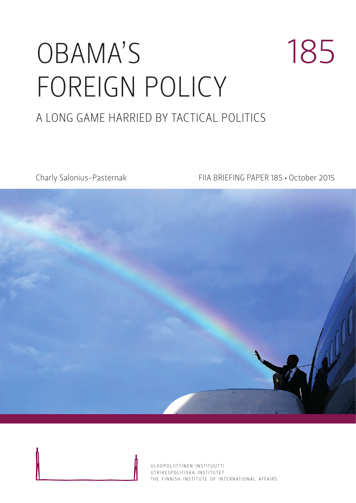# OBAMA'S FOREIGN POLICY 185 A LONG GAME HARRIED BY TACTICAL POLITICS

Charly Salonius-Pasternak FIIA BRIEFING PAPER 185 • October 2015



ULKOPOLIITTINEN INSTITUUTTI UTRIKESPOLITISK A INSTITUTET THE FINNISH INSTITUTE OF INTERNATIONAL AFFAIRS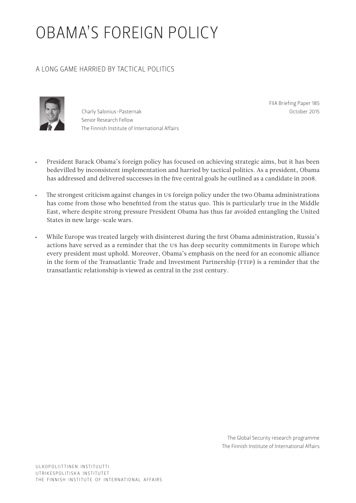# OBAMA'S FOREIGN POLICY

# A LONG GAME HARRIED BY TACTICAL POLITICS



Charly Salonius-Pasternak Senior Research Fellow The Finnish Institute of International Affairs FIIA Briefing Paper 185 October 2015

- President Barack Obama's foreign policy has focused on achieving strategic aims, but it has been bedevilled by inconsistent implementation and harried by tactical politics. As a president, Obama has addressed and delivered successes in the five central goals he outlined as a candidate in 2008.
- The strongest criticism against changes in US foreign policy under the two Obama administrations has come from those who benefitted from the status quo. This is particularly true in the Middle East, where despite strong pressure President Obama has thus far avoided entangling the United States in new large-scale wars.
- While Europe was treated largely with disinterest during the first Obama administration, Russia's actions have served as a reminder that the US has deep security commitments in Europe which every president must uphold. Moreover, Obama's emphasis on the need for an economic alliance in the form of the Transatlantic Trade and Investment Partnership (TTIP) is a reminder that the transatlantic relationship is viewed as central in the 21st century.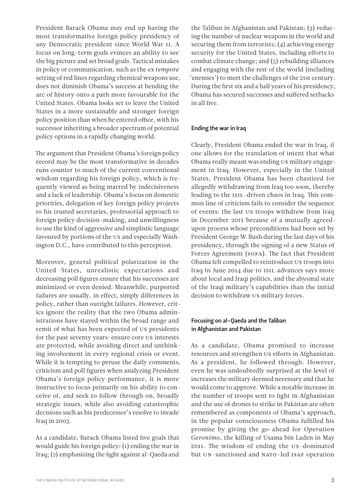President Barack Obama may end up having the most transformative foreign policy presidency of any Democratic president since World War II. A focus on long-term goals evinces an ability to see the big picture and set broad goals. Tactical mistakes in policy or communication, such as the *ex tempore* setting of red lines regarding chemical weapons use, does not diminish Obama's success at bending the arc of history onto a path more favourable for the United States. Obama looks set to leave the United States in a more sustainable and stronger foreign policy position than when he entered office, with his successor inheriting a broader spectrum of potential policy options in a rapidly changing world.

The argument that President Obama's foreign policy record may be the most transformative in decades runs counter to much of the current conventional wisdom regarding his foreign policy, which is frequently viewed as being marred by indecisiveness and a lack of leadership. Obama's focus on domestic priorities, delegation of key foreign policy projects to his trusted secretaries, professorial approach to foreign policy decision-making, and unwillingness to use the kind of aggressive and simplistic language favoured by portions of the US and especially Washington D.C., have contributed to this perception.

Moreover, general political polarization in the United States, unrealistic expectations and decreasing poll figures ensure that his successes are minimized or even denied. Meanwhile, purported failures are usually, in effect, simply differences in policy, rather than outright failures. However, critics ignore the reality that the two Obama administrations have stayed within the broad range and remit of what has been expected of US presidents for the past seventy years: ensure core US interests are protected, while avoiding direct and unthinking involvement in every regional crisis or event. While it is tempting to peruse the daily comments, criticism and poll figures when analyzing President Obama's foreign policy performance, it is more instructive to focus primarily on his ability to conceive of, and seek to follow through on, broadly strategic issues, while also avoiding catastrophic decisions such as his predecessor's resolve to invade Iraq in 2003.

As a candidate, Barack Obama listed five goals that would guide his foreign policy: (1) ending the war in Iraq; (2) emphasizing the fight against al-Qaeda and

the Taliban in Afghanistan and Pakistan; (3) reducing the number of nuclear weapons in the world and securing them from terrorists; (4) achieving energy security for the United States, including efforts to combat climate change; and (5) rebuilding alliances and engaging with the rest of the world (including 'enemies') to meet the challenges of the 21st century. During the first six and a half years of his presidency, Obama has secured successes and suffered setbacks in all five.

#### Ending the war in Iraq

Clearly, President Obama ended the war in Iraq, if one allows for the translation of intent that what Obama really meant was ending US military engagement in Iraq. However, especially in the United States, President Obama has been chastized for allegedly withdrawing from Iraq too soon, thereby leading to the ISIL-driven chaos in Iraq. This common line of criticism fails to consider the sequence of events: the last US troops withdrew from Iraq in December 2011 because of a mutually agreedupon process whose preconditions had been set by President George W. Bush during the last days of his presidency, through the signing of a new Status of Forces Agreement (SOFA). The fact that President Obama felt compelled to reintroduce US troops into Iraq In June 2014 due to ISIL advances says more about local and Iraqi politics, and the abysmal state of the Iraqi military's capabilities than the initial decision to withdraw US military forces.

# Focusing on al-Qaeda and the Taliban in Afghanistan and Pakistan

As a candidate, Obama promised to increase resources and strengthen US efforts in Afghanistan. As a president, he followed through. However, even he was undoubtedly surprised at the level of increases the military deemed necessary and that he would come to approve. While a notable increase in the number of troops sent to fight in Afghanistan and the use of drones to strike in Pakistan are often remembered as components of Obama's approach, in the popular consciousness Obama fulfilled his promise by giving the go-ahead for *Operation Geronimo*, the killing of Usama bin Laden in May 2011. The wisdom of ending the US-dominated but UN-sanctioned and NATO-led ISAF operation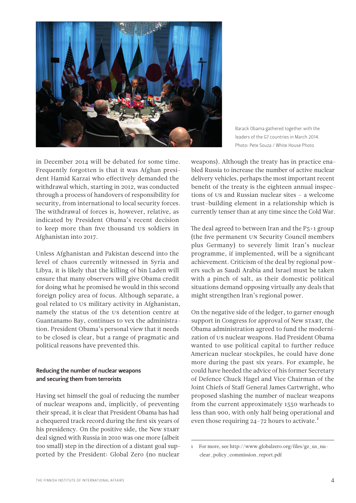

Barack Obama gathered together with the leaders of the G7 countries in March 2014. Photo: Pete Souza / White House Photo

in December 2014 will be debated for some time. Frequently forgotten is that it was Afghan president Hamid Karzai who effectively demanded the withdrawal which, starting in 2012, was conducted through a process of handovers of responsibility for security, from international to local security forces. The withdrawal of forces is, however, relative, as indicated by President Obama's recent decision to keep more than five thousand US soldiers in Afghanistan into 2017.

Unless Afghanistan and Pakistan descend into the level of chaos currently witnessed in Syria and Libya, it is likely that the killing of bin Laden will ensure that many observers will give Obama credit for doing what he promised he would in this second foreign policy area of focus. Although separate, a goal related to US military activity in Afghanistan, namely the status of the US detention centre at Guantanamo Bay, continues to vex the administration. President Obama's personal view that it needs to be closed is clear, but a range of pragmatic and political reasons have prevented this.

# Reducing the number of nuclear weapons and securing them from terrorists

Having set himself the goal of reducing the number of nuclear weapons and, implicitly, of preventing their spread, it is clear that President Obama has had a chequered track record during the first six years of his presidency. On the positive side, the New START deal signed with Russia in 2010 was one more (albeit too small) step in the direction of a distant goal supported by the President: Global Zero (no nuclear weapons). Although the treaty has in practice enabled Russia to increase the number of active nuclear delivery vehicles, perhaps the most important recent benefit of the treaty is the eighteen annual inspections of US and Russian nuclear sites – a welcome trust-building element in a relationship which is currently tenser than at any time since the Cold War.

The deal agreed to between Iran and the P5+1 group (the five permanent UN Security Council members plus Germany) to severely limit Iran's nuclear programme, if implemented, will be a significant achievement. Criticism of the deal by regional powers such as Saudi Arabia and Israel must be taken with a pinch of salt, as their domestic political situations demand opposing virtually any deals that might strengthen Iran's regional power.

On the negative side of the ledger, to garner enough support in Congress for approval of New START, the Obama administration agreed to fund the modernization of US nuclear weapons. Had President Obama wanted to use political capital to further reduce American nuclear stockpiles, he could have done more during the past six years. For example, he could have heeded the advice of his former Secretary of Defence Chuck Hagel and Vice Chairman of the Joint Chiefs of Staff General James Cartwright, who proposed slashing the number of nuclear weapons from the current approximately 1550 warheads to less than 900, with only half being operational and even those requiring  $24$ -72 hours to activate.<sup>1</sup>

<sup>1</sup> For more, see [http://www.globalzero.org/files/gz\\_us\\_nu](http://www.globalzero.org/files/gz_us_nuclear_policy_commission_report.pdf)[clear\\_policy\\_commission\\_report.pdf](http://www.globalzero.org/files/gz_us_nuclear_policy_commission_report.pdf)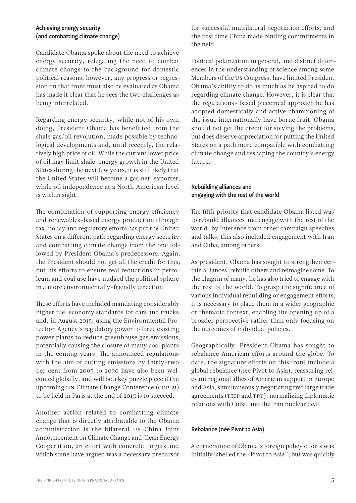### Achieving energy security (and combatting climate change)

Candidate Obama spoke about the need to achieve energy security, relegating the need to combat climate change to the background for domestic political reasons; however, any progress or regression on that front must also be evaluated as Obama has made it clear that he sees the two challenges as being interrelated.

Regarding energy security, while not of his own doing, President Obama has benefitted from the shale gas/oil revolution, made possible by technological developments and, until recently, the relatively high price of oil. While the current lower price of oil may limit shale-energy growth in the United States during the next few years, it is still likely that the United States will become a gas net-exporter, while oil independence at a North American level is within sight.

The combination of supporting energy efficiency and renewables-based energy production through tax, policy and regulatory efforts has put the United States on a different path regarding energy security and combatting climate change from the one followed by President Obama's predecessors. Again, the President should not get all the credit for this, but his efforts to ensure real reductions in petroleum and coal use have nudged the political sphere in a more environmentally-friendly direction.

These efforts have included mandating considerably higher fuel economy standards for cars and trucks and, in August 2015, using the Environmental Protection Agency's regulatory power to force existing power plants to reduce greenhouse gas emissions, potentially causing the closure of many coal plants in the coming years. The announced regulations with the aim of cutting emissions by thirty-two per cent from 2005 to 2030 have also been welcomed globally, and will be a key puzzle piece if the upcoming UN Climate Change Conference (COP 21) to be held in Paris at the end of 2015 is to succeed.

Another action related to combatting climate change that is directly attributable to the Obama administration is the bilateral US-China Joint Announcement on Climate Change and Clean Energy Cooperation, an effort with concrete targets and which some have argued was a necessary precursor for successful multilateral negotiation efforts, and the first time China made binding commitments in the field.

Political polarization in general, and distinct differences in the understanding of science among some Members of the US Congress, have limited President Obama's ability to do as much as he aspired to do regarding climate change. However, it is clear that the regulations- based piecemeal approach he has adopted domestically and active championing of the issue internationally have borne fruit. Obama should not get the credit for solving the problems, but does deserve appreciation for putting the United States on a path more compatible with combatting climate change and reshaping the country's energy future.

### Rebuilding alliances and engaging with the rest of the world

The fifth priority that candidate Obama listed was to rebuild alliances and engage with the rest of the world; by inference from other campaign speeches and talks, this also included engagement with Iran and Cuba, among others.

As president, Obama has sought to strengthen certain alliances, rebuild others and reimagine some. To the chagrin of many, he has also tried to engage with the rest of the world. To grasp the significance of various individual rebuilding or engagement efforts, it is necessary to place them in a wider geographic or thematic context, enabling the opening up of a broader perspective rather than only focusing on the outcomes of individual policies.

Geographically, President Obama has sought to rebalance American efforts around the globe. To date, the signature efforts on this front include a global rebalance (née Pivot to Asia), reassuring relevant regional allies of American support in Europe and Asia, simultaneously negotiating two large trade agreements (TTIP and TPP), normalizing diplomatic relations with Cuba, and the Iran nuclear deal.

# Rebalance (née Pivot to Asia)

A cornerstone of Obama's foreign policy efforts was initially labelled the "Pivot to Asia", but was quickly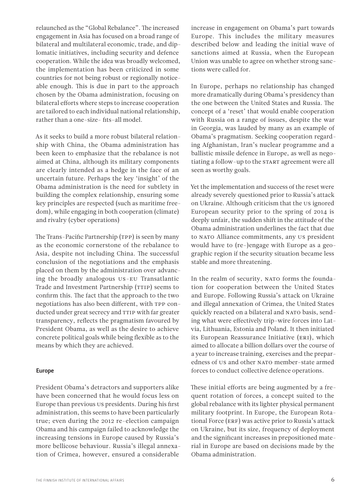relaunched as the "Global Rebalance". The increased engagement in Asia has focused on a broad range of bilateral and multilateral economic, trade, and diplomatic initiatives, including security and defence cooperation. While the idea was broadly welcomed, the implementation has been criticized in some countries for not being robust or regionally noticeable enough. This is due in part to the approach chosen by the Obama administration, focusing on bilateral efforts where steps to increase cooperation are tailored to each individual national relationship, rather than a one-size- fits-all model.

As it seeks to build a more robust bilateral relationship with China, the Obama administration has been keen to emphasize that the rebalance is not aimed at China, although its military components are clearly intended as a hedge in the face of an uncertain future. Perhaps the key 'insight' of the Obama administration is the need for subtlety in building the complex relationship, ensuring some key principles are respected (such as maritime freedom), while engaging in both cooperation (climate) and rivalry (cyber operations)

The Trans-Pacific Partnership (TPP) is seen by many as the economic cornerstone of the rebalance to Asia, despite not including China. The successful conclusion of the negotiations and the emphasis placed on them by the administration over advancing the broadly analogous US-EU Transatlantic Trade and Investment Partnership (TTIP) seems to confirm this. The fact that the approach to the two negotiations has also been different, with TPP conducted under great secrecy and TTIP with far greater transparency, reflects the pragmatism favoured by President Obama, as well as the desire to achieve concrete political goals while being flexible as to the means by which they are achieved.

#### Europe

President Obama's detractors and supporters alike have been concerned that he would focus less on Europe than previous US presidents. During his first administration, this seems to have been particularly true; even during the 2012 re-election campaign Obama and his campaign failed to acknowledge the increasing tensions in Europe caused by Russia's more bellicose behaviour. Russia's illegal annexation of Crimea, however, ensured a considerable

increase in engagement on Obama's part towards Europe. This includes the military measures described below and leading the initial wave of sanctions aimed at Russia, when the European Union was unable to agree on whether strong sanctions were called for.

In Europe, perhaps no relationship has changed more dramatically during Obama's presidency than the one between the United States and Russia. The concept of a 'reset' that would enable cooperation with Russia on a range of issues, despite the war in Georgia, was lauded by many as an example of Obama's pragmatism. Seeking cooperation regarding Afghanistan, Iran's nuclear programme and a ballistic missile defence in Europe, as well as negotiating a follow-up to the START agreement were all seen as worthy goals.

Yet the implementation and success of the reset were already severely questioned prior to Russia's attack on Ukraine. Although criticism that the US ignored European security prior to the spring of 2014 is deeply unfair, the sudden shift in the attitude of the Obama administration underlines the fact that due to NATO Alliance commitments, any US president would have to (re-)engage with Europe as a geographic region if the security situation became less stable and more threatening.

In the realm of security, NATO forms the foundation for cooperation between the United States and Europe. Following Russia's attack on Ukraine and illegal annexation of Crimea, the United States quickly reacted on a bilateral and NATO basis, sending what were effectively trip-wire forces into Latvia, Lithuania, Estonia and Poland. It then initiated its European Reassurance Initiative (ERI), which aimed to allocate a billion dollars over the course of a year to increase training, exercises and the preparedness of US and other NATO member-state armed forces to conduct collective defence operations.

These initial efforts are being augmented by a frequent rotation of forces, a concept suited to the global rebalance with its lighter physical permanent military footprint. In Europe, the European Rotational Force (ERF) was active prior to Russia's attack on Ukraine, but its size, frequency of deployment and the significant increases in prepositioned material in Europe are based on decisions made by the Obama administration.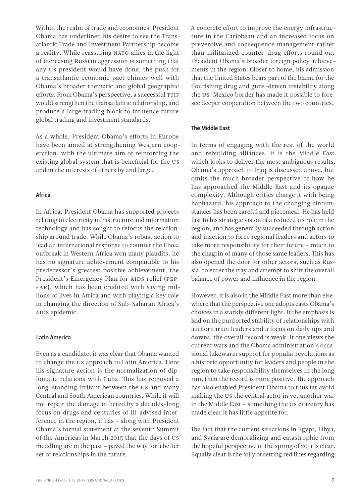Within the realm of trade and economics, President Obama has underlined his desire to see the Transatlantic Trade and Investment Partnership become a reality. While reassuring NATO allies in the light of increasing Russian aggression is something that any US president would have done, the push for a transatlantic economic pact chimes well with Obama's broader thematic and global geographic efforts. From Obama's perspective, a successful TTIP would strengthen the transatlantic relationship, and produce a large trading block to influence future global trading and investment standards.

As a whole, President Obama's efforts in Europe have been aimed at strengthening Western cooperation, with the ultimate aim of reinforcing the existing global system that is beneficial for the US and in the interests of others by and large.

#### Africa

In Africa, President Obama has supported projects relating to electricity infrastructure and information technology and has sought to refocus the relationship around trade. While Obama's robust action to lead an international response to counter the Ebola outbreak in Western Africa won many plaudits, he has no signature achievement comparable to his predecessor's greatest positive achievement, the President's Emergency Plan for AIDS relief (PEP-FAR), which has been credited with saving millions of lives in Africa and with playing a key role in changing the direction of Sub-Saharan Africa's AIDS epidemic.

#### Latin America

Even as a candidate, it was clear that Obama wanted to change the US approach to Latin America. Here his signature action is the normalization of diplomatic relations with Cuba. This has removed a long-standing irritant between the US and many Central and South American countries. While it will not repair the damage inflicted by a decades-long focus on drugs and centuries of ill-advised interference in the region, it has – along with President Obama's formal statement at the seventh Summit of the Americas in March 2015 that the days of US meddling are in the past – paved the way for a better set of relationships in the future.

A concrete effort to improve the energy infrastructure in the Caribbean and an increased focus on preventive and consequence management rather than militarized counter-drug efforts round out President Obama's broader foreign policy achievements in the region. Closer to home, his admission that the United States bears part of the blame for the flourishing drug and guns-driven instability along the US-Mexico border has made it possible to foresee deeper cooperation between the two countries.

#### The Middle East

In terms of engaging with the rest of the world and rebuilding alliances, it is the Middle East which looks to deliver the most ambiguous results. Obama's approach to Iraq is discussed above, but omits the much broader perspective of how he has approached the Middle East and its opaque complexity. Although critics charge it with being haphazard, his approach to the changing circumstances has been careful and piecemeal. He has held fast to his strategic vision of a reduced US role in the region, and has generally succeeded through action and inaction to force regional leaders and actors to take more responsibility for their future – much to the chagrin of many of those same leaders. This has also opened the door for other actors, such as Russia, to enter the fray and attempt to shift the overall balance of power and influence in the region.

However, it is also in the Middle East more than elsewhere that the perspective one adopts casts Obama's choices in a starkly different light. If the emphasis is laid on the purported stability of relationships with authoritarian leaders and a focus on daily ups and downs, the overall record is weak. If one views the current wars and the Obama administration's occasional lukewarm support for popular revolutions as a historic opportunity for leaders and people in the region to take responsibility themselves in the long run, then the record is more positive. The approach has also enabled President Obama to thus far avoid making the US the central actor in yet another war in the Middle East – something the US citizenry has made clear it has little appetite for.

The fact that the current situations in Egypt, Libya, and Syria are demoralizing and catastrophic from the hopeful perspective of the spring of 2011 is clear. Equally clear is the folly of setting red lines regarding